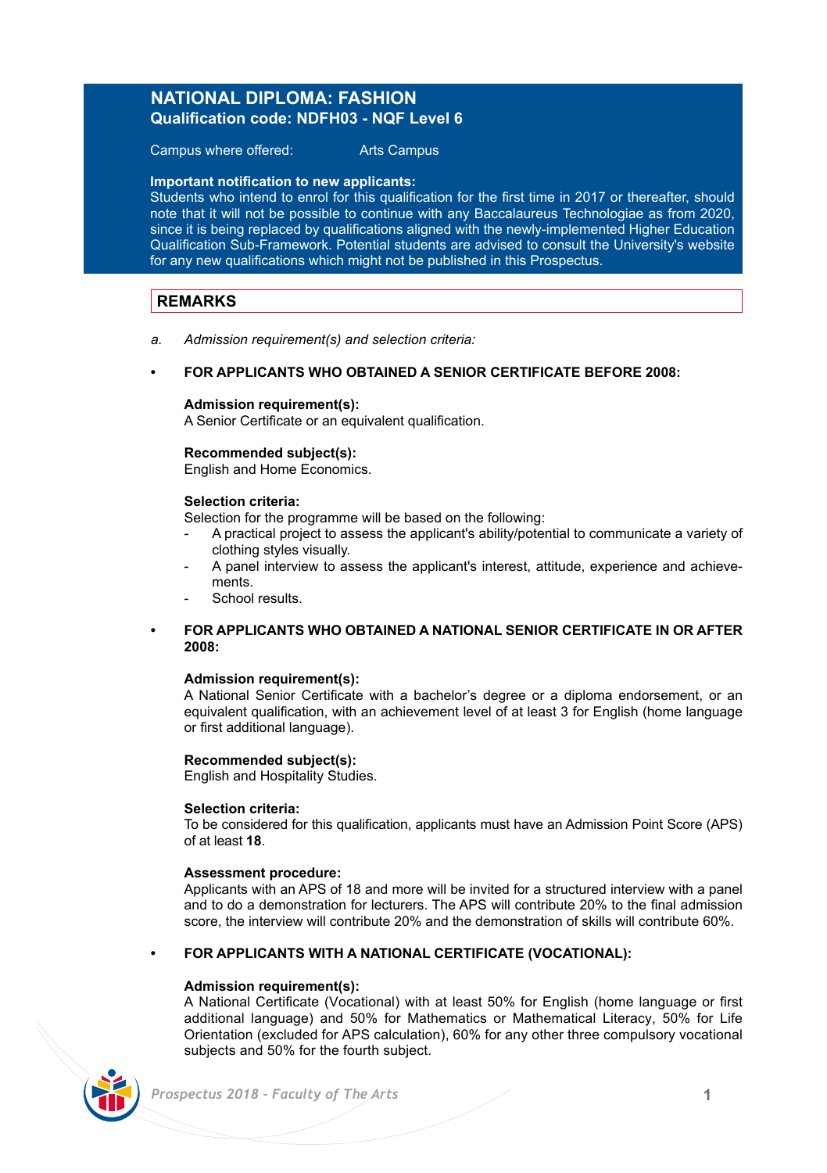# **NATIONAL DIPLOMA: FASHION Qualification code: NDFH03 - NQF Level 6**

Campus where offered: Arts Campus

### **Important notification to new applicants:**

Students who intend to enrol for this qualification for the first time in 2017 or thereafter, should note that it will not be possible to continue with any Baccalaureus Technologiae as from 2020, since it is being replaced by qualifications aligned with the newly-implemented Higher Education Qualification Sub-Framework. Potential students are advised to consult the University's website for any new qualifications which might not be published in this Prospectus.

# **REMARKS**

*a. Admission requirement(s) and selection criteria:*

### **• FOR APPLICANTS WHO OBTAINED A SENIOR CERTIFICATE BEFORE 2008:**

### **Admission requirement(s):**

A Senior Certificate or an equivalent qualification.

### **Recommended subject(s):**

English and Home Economics.

### **Selection criteria:**

Selection for the programme will be based on the following:

- A practical project to assess the applicant's ability/potential to communicate a variety of clothing styles visually.
- A panel interview to assess the applicant's interest, attitude, experience and achievements.
- School results.

### **• FOR APPLICANTS WHO OBTAINED A NATIONAL SENIOR CERTIFICATE IN OR AFTER 2008:**

### **Admission requirement(s):**

A National Senior Certificate with a bachelor's degree or a diploma endorsement, or an equivalent qualification, with an achievement level of at least 3 for English (home language or first additional language).

### **Recommended subject(s):**

English and Hospitality Studies.

### **Selection criteria:**

To be considered for this qualification, applicants must have an Admission Point Score (APS) of at least **18**.

### **Assessment procedure:**

Applicants with an APS of 18 and more will be invited for a structured interview with a panel and to do a demonstration for lecturers. The APS will contribute 20% to the final admission score, the interview will contribute 20% and the demonstration of skills will contribute 60%.

### **• FOR APPLICANTS WITH A NATIONAL CERTIFICATE (VOCATIONAL):**

### **Admission requirement(s):**

A National Certificate (Vocational) with at least 50% for English (home language or first additional language) and 50% for Mathematics or Mathematical Literacy, 50% for Life Orientation (excluded for APS calculation), 60% for any other three compulsory vocational subjects and 50% for the fourth subject.

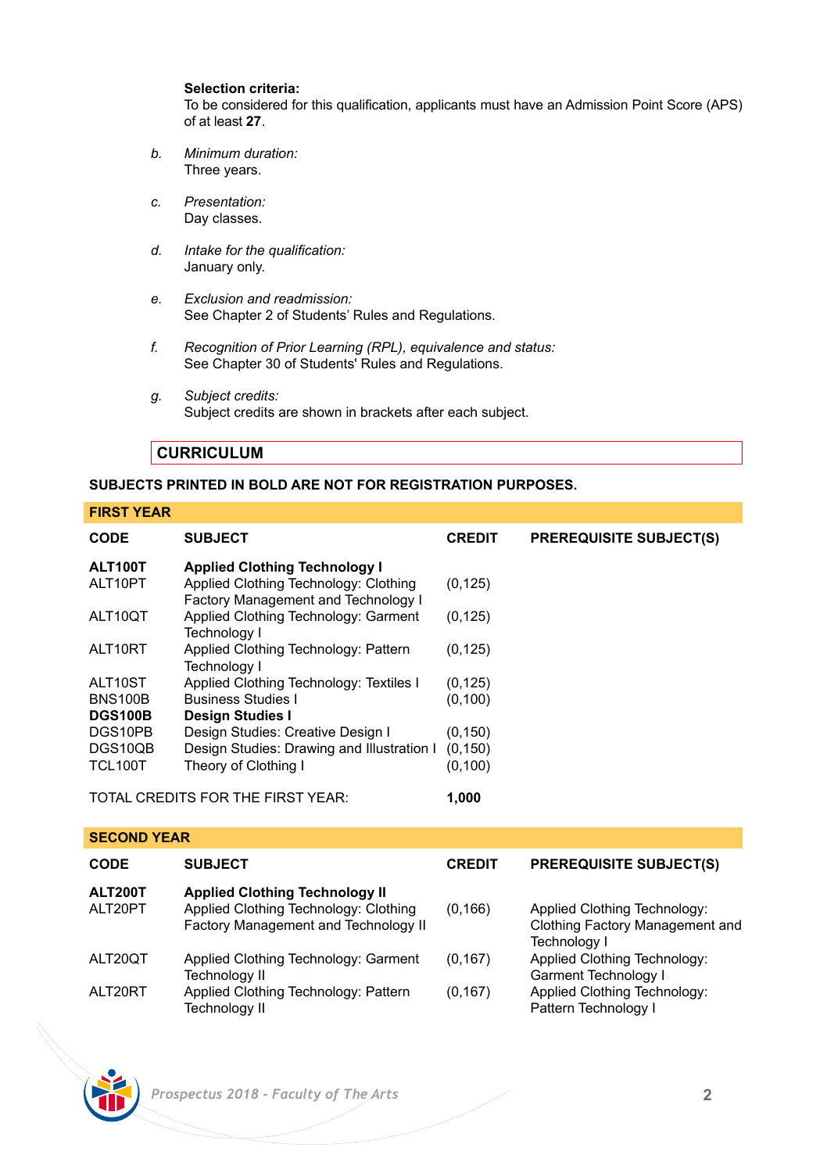### **Selection criteria:**

To be considered for this qualification, applicants must have an Admission Point Score (APS) of at least **27**.

- *b. Minimum duration:* Three years.
- *c. Presentation:* Day classes.
- *d. Intake for the qualification:* January only.
- *e. Exclusion and readmission:* See Chapter 2 of Students' Rules and Regulations.
- *f. Recognition of Prior Learning (RPL), equivalence and status:* See Chapter 30 of Students' Rules and Regulations.
- *g. Subject credits:* Subject credits are shown in brackets after each subject.

# **CURRICULUM**

# **SUBJECTS PRINTED IN BOLD ARE NOT FOR REGISTRATION PURPOSES.**

## **FIRST YEAR**

| <b>CODE</b>    | <b>SUBJECT</b>                                                               | <b>CREDIT</b> | <b>PREREQUISITE SUBJECT(S)</b> |
|----------------|------------------------------------------------------------------------------|---------------|--------------------------------|
| ALT100T        | <b>Applied Clothing Technology I</b>                                         |               |                                |
| ALT10PT        | Applied Clothing Technology: Clothing<br>Factory Management and Technology I | (0, 125)      |                                |
| ALT10QT        | Applied Clothing Technology: Garment<br>Technoloav I                         | (0, 125)      |                                |
| ALT10RT        | Applied Clothing Technology: Pattern<br>Technology I                         | (0, 125)      |                                |
| ALT10ST        | Applied Clothing Technology: Textiles I                                      | (0, 125)      |                                |
| <b>BNS100B</b> | <b>Business Studies I</b>                                                    | (0.100)       |                                |
| <b>DGS100B</b> | <b>Design Studies I</b>                                                      |               |                                |
| DGS10PB        | Design Studies: Creative Design I                                            | (0, 150)      |                                |
| DGS10OB        | Design Studies: Drawing and Illustration I                                   | (0, 150)      |                                |
| <b>TCL100T</b> | Theory of Clothing I                                                         | (0, 100)      |                                |

TOTAL CREDITS FOR THE FIRST YEAR: **1,000**

| -----------               |                                                                                                                        |               |                                                                                 |  |  |  |
|---------------------------|------------------------------------------------------------------------------------------------------------------------|---------------|---------------------------------------------------------------------------------|--|--|--|
| <b>CODE</b>               | <b>SUBJECT</b>                                                                                                         | <b>CREDIT</b> | <b>PREREQUISITE SUBJECT(S)</b>                                                  |  |  |  |
| <b>ALT200T</b><br>ALT20PT | <b>Applied Clothing Technology II</b><br>Applied Clothing Technology: Clothing<br>Factory Management and Technology II | (0, 166)      | Applied Clothing Technology:<br>Clothing Factory Management and<br>Technology I |  |  |  |
| ALT20OT                   | Applied Clothing Technology: Garment<br>Technology II                                                                  | (0.167)       | Applied Clothing Technology:<br>Garment Technology I                            |  |  |  |
| ALT20RT                   | Applied Clothing Technology: Pattern<br>Technology II                                                                  | (0, 167)      | Applied Clothing Technology:<br>Pattern Technology I                            |  |  |  |

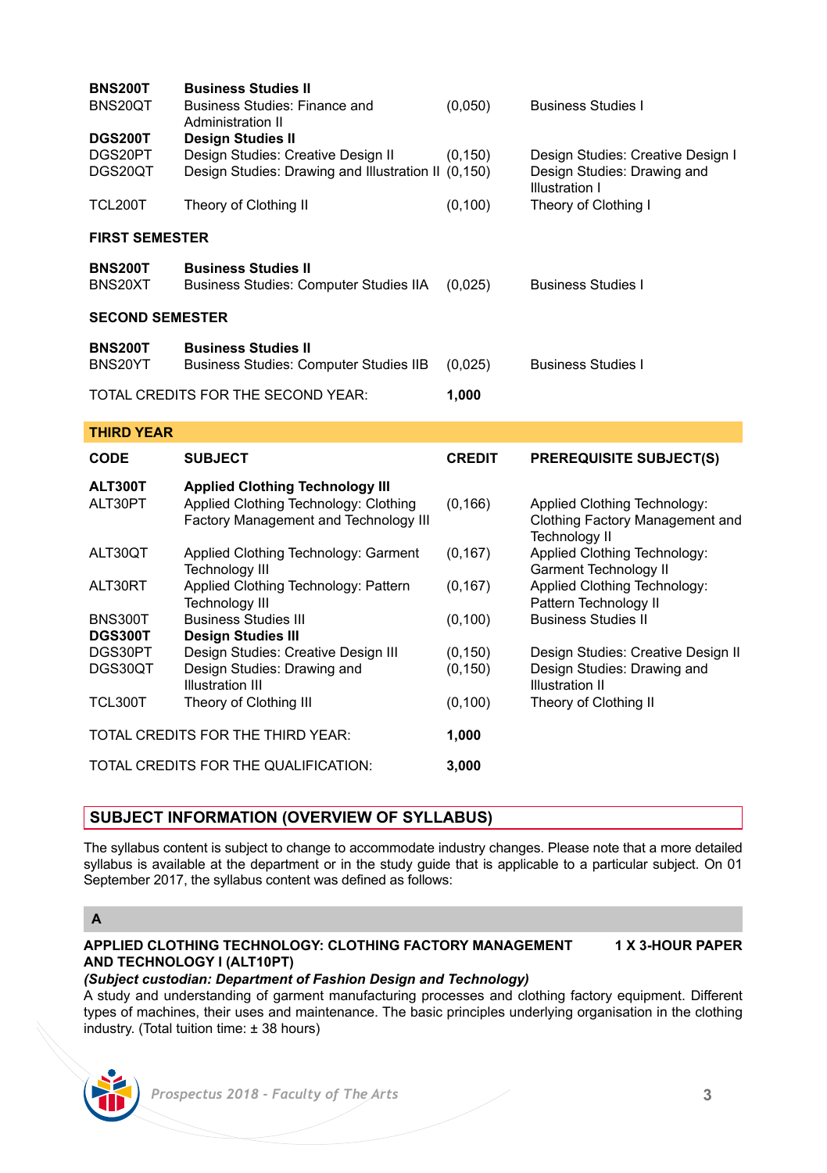| <b>BNS200T</b><br>BNS20QT<br><b>DGS200T</b> | <b>Business Studies II</b><br>Business Studies: Finance and<br>Administration II<br><b>Desian Studies II</b>             | (0,050)       | <b>Business Studies I</b>                                                                 |  |  |  |
|---------------------------------------------|--------------------------------------------------------------------------------------------------------------------------|---------------|-------------------------------------------------------------------------------------------|--|--|--|
| DGS20PT<br>DGS20QT                          | Design Studies: Creative Design II<br>Design Studies: Drawing and Illustration II (0.150)                                | (0, 150)      | Design Studies: Creative Design I<br>Design Studies: Drawing and<br><b>Illustration I</b> |  |  |  |
| TCL200T                                     | Theory of Clothing II                                                                                                    | (0, 100)      | Theory of Clothing I                                                                      |  |  |  |
| <b>FIRST SEMESTER</b>                       |                                                                                                                          |               |                                                                                           |  |  |  |
| <b>BNS200T</b><br>BNS20XT                   | <b>Business Studies II</b><br>Business Studies: Computer Studies IIA                                                     | (0,025)       | <b>Business Studies I</b>                                                                 |  |  |  |
| <b>SECOND SEMESTER</b>                      |                                                                                                                          |               |                                                                                           |  |  |  |
| <b>BNS200T</b><br>BNS20YT                   | <b>Business Studies II</b><br><b>Business Studies: Computer Studies IIB</b>                                              | (0,025)       | <b>Business Studies I</b>                                                                 |  |  |  |
|                                             | TOTAL CREDITS FOR THE SECOND YEAR:                                                                                       | 1,000         |                                                                                           |  |  |  |
| <b>THIRD YEAR</b>                           |                                                                                                                          |               |                                                                                           |  |  |  |
| <b>CODE</b>                                 | <b>SUBJECT</b>                                                                                                           | <b>CREDIT</b> | <b>PREREQUISITE SUBJECT(S)</b>                                                            |  |  |  |
| <b>ALT300T</b><br>ALT30PT                   | <b>Applied Clothing Technology III</b><br>Applied Clothing Technology: Clothing<br>Factory Management and Technology III | (0, 166)      | Applied Clothing Technology:<br>Clothing Factory Management and<br><b>Technology II</b>   |  |  |  |
| ALT30QT                                     | Applied Clothing Technology: Garment<br><b>Technology III</b>                                                            | (0, 167)      | Applied Clothing Technology:<br><b>Garment Technology II</b>                              |  |  |  |
| ALT30RT                                     | Applied Clothing Technology: Pattern<br><b>Technology III</b>                                                            | (0, 167)      | Applied Clothing Technology:<br>Pattern Technology II                                     |  |  |  |
| <b>BNS300T</b><br><b>DGS300T</b>            | <b>Business Studies III</b><br><b>Design Studies III</b>                                                                 | (0, 100)      | <b>Business Studies II</b>                                                                |  |  |  |
| DGS30PT                                     | Design Studies: Creative Design III                                                                                      | (0, 150)      | Design Studies: Creative Design II                                                        |  |  |  |
| DGS30QT                                     | Design Studies: Drawing and<br><b>Illustration III</b>                                                                   | (0, 150)      | Design Studies: Drawing and<br><b>Illustration II</b>                                     |  |  |  |
| TCL300T                                     | Theory of Clothing III                                                                                                   | (0, 100)      | Theory of Clothing II                                                                     |  |  |  |

TOTAL CREDITS FOR THE QUALIFICATION: **3,000**

# **SUBJECT INFORMATION (OVERVIEW OF SYLLABUS)**

TOTAL CREDITS FOR THE THIRD YEAR: **1,000**

The syllabus content is subject to change to accommodate industry changes. Please note that a more detailed syllabus is available at the department or in the study guide that is applicable to a particular subject. On 01 September 2017, the syllabus content was defined as follows:

# **A**

### **APPLIED CLOTHING TECHNOLOGY: CLOTHING FACTORY MANAGEMENT 1 X 3-HOUR PAPER AND TECHNOLOGY I (ALT10PT)**

# *(Subject custodian: Department of Fashion Design and Technology)*

A study and understanding of garment manufacturing processes and clothing factory equipment. Different types of machines, their uses and maintenance. The basic principles underlying organisation in the clothing industry. (Total tuition time: ± 38 hours)

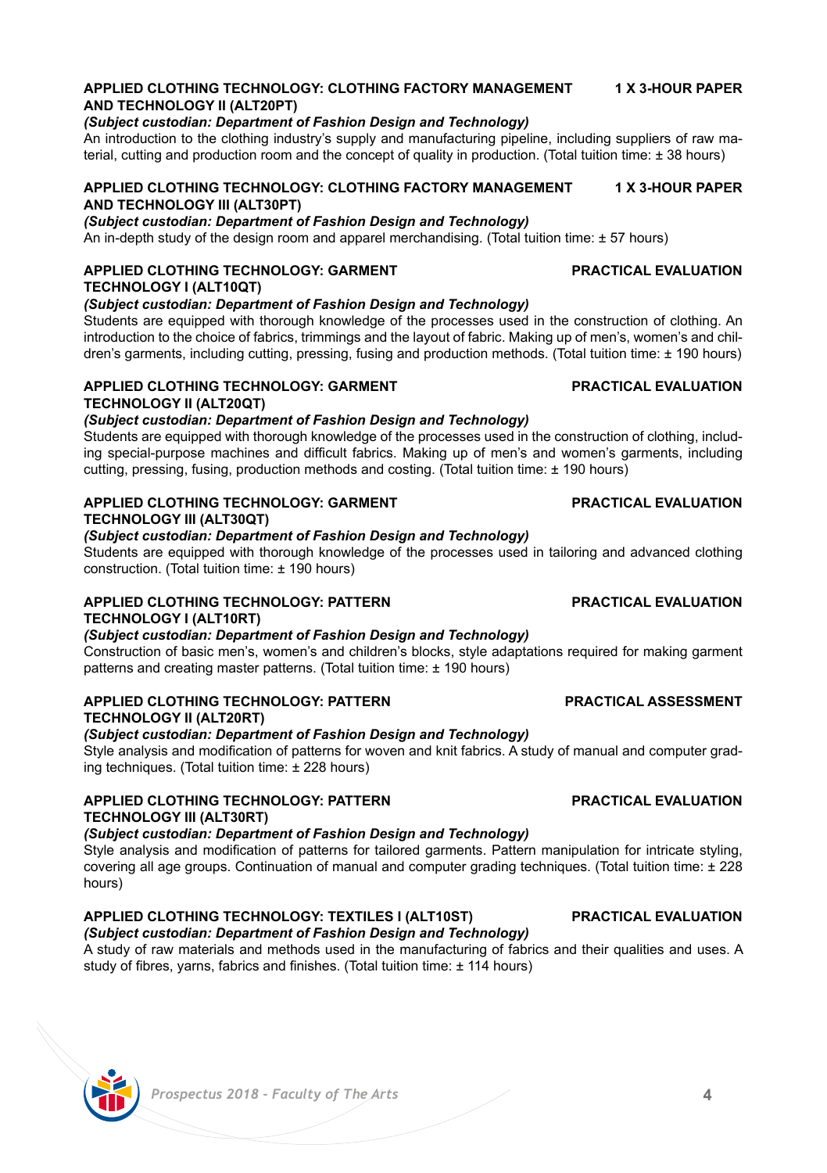### **APPLIED CLOTHING TECHNOLOGY: CLOTHING FACTORY MANAGEMENT 1 X 3-HOUR PAPER AND TECHNOLOGY II (ALT20PT)**

### *(Subject custodian: Department of Fashion Design and Technology)*

An introduction to the clothing industry's supply and manufacturing pipeline, including suppliers of raw material, cutting and production room and the concept of quality in production. (Total tuition time: ± 38 hours)

### **APPLIED CLOTHING TECHNOLOGY: CLOTHING FACTORY MANAGEMENT 1 X 3-HOUR PAPER AND TECHNOLOGY III (ALT30PT)**

*(Subject custodian: Department of Fashion Design and Technology)*

An in-depth study of the design room and apparel merchandising. (Total tuition time: ± 57 hours)

### **APPLIED CLOTHING TECHNOLOGY: GARMENT PRACTICAL EVALUATION TECHNOLOGY I (ALT10QT)**

## *(Subject custodian: Department of Fashion Design and Technology)*

Students are equipped with thorough knowledge of the processes used in the construction of clothing. An introduction to the choice of fabrics, trimmings and the layout of fabric. Making up of men's, women's and children's garments, including cutting, pressing, fusing and production methods. (Total tuition time: ± 190 hours)

### **APPLIED CLOTHING TECHNOLOGY: GARMENT PRACTICAL EVALUATION TECHNOLOGY II (ALT20QT)**

# *(Subject custodian: Department of Fashion Design and Technology)*

Students are equipped with thorough knowledge of the processes used in the construction of clothing, including special-purpose machines and difficult fabrics. Making up of men's and women's garments, including cutting, pressing, fusing, production methods and costing. (Total tuition time: ± 190 hours)

# **APPLIED CLOTHING TECHNOLOGY: GARMENT PRACTICAL EVALUATION TECHNOLOGY III (ALT30QT)**

*(Subject custodian: Department of Fashion Design and Technology)* Students are equipped with thorough knowledge of the processes used in tailoring and advanced clothing

construction. (Total tuition time: ± 190 hours)

# **APPLIED CLOTHING TECHNOLOGY: PATTERN PRACTICAL EVALUATION TECHNOLOGY I (ALT10RT)**

*(Subject custodian: Department of Fashion Design and Technology)* Construction of basic men's, women's and children's blocks, style adaptations required for making garment patterns and creating master patterns. (Total tuition time: ± 190 hours)

# **APPLIED CLOTHING TECHNOLOGY: PATTERN PRACTICAL ASSESSMENT TECHNOLOGY II (ALT20RT)**

### *(Subject custodian: Department of Fashion Design and Technology)*

Style analysis and modification of patterns for woven and knit fabrics. A study of manual and computer grading techniques. (Total tuition time: ± 228 hours)

## **APPLIED CLOTHING TECHNOLOGY: PATTERN PRACTICAL EVALUATION TECHNOLOGY III (ALT30RT)**

*(Subject custodian: Department of Fashion Design and Technology)* Style analysis and modification of patterns for tailored garments. Pattern manipulation for intricate styling, covering all age groups. Continuation of manual and computer grading techniques. (Total tuition time: ± 228 hours)

# **APPLIED CLOTHING TECHNOLOGY: TEXTILES I (ALT10ST) PRACTICAL EVALUATION**

# *(Subject custodian: Department of Fashion Design and Technology)*

A study of raw materials and methods used in the manufacturing of fabrics and their qualities and uses. A study of fibres, yarns, fabrics and finishes. (Total tuition time: + 114 hours)

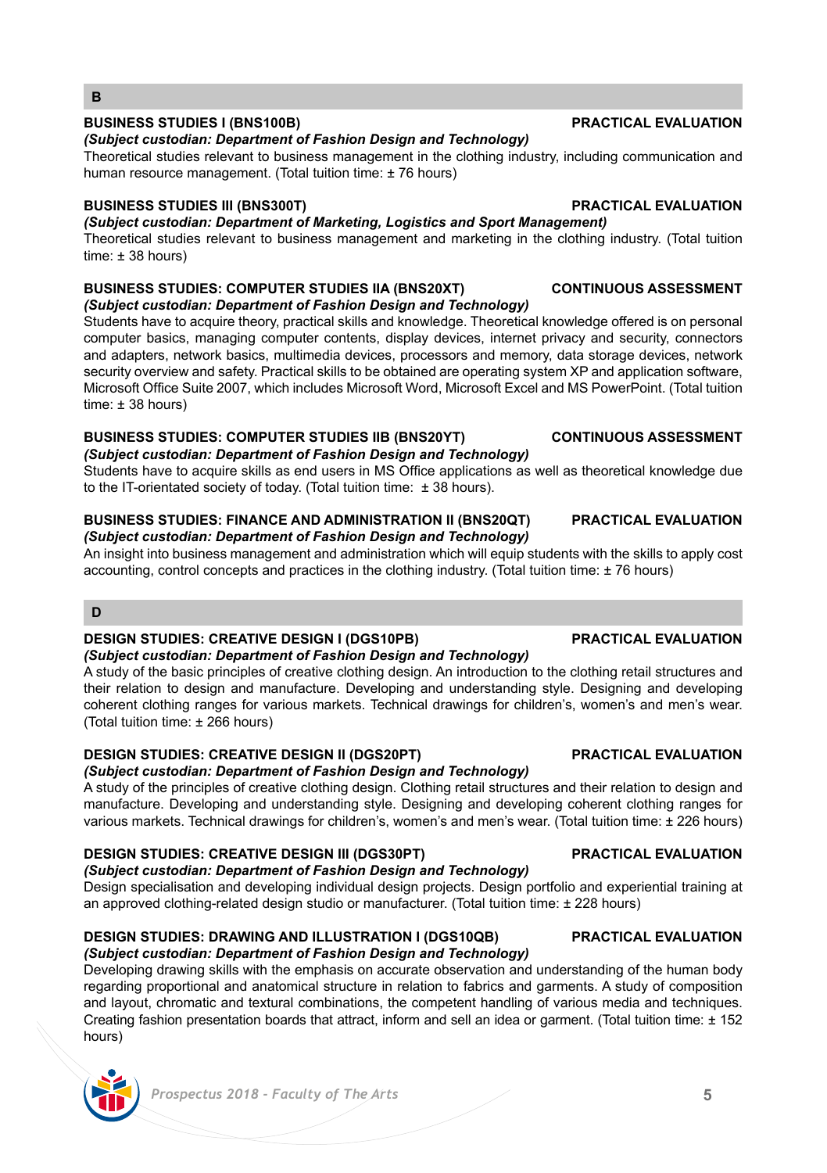### *Prospectus 2018 - Faculty of The Arts* **5**

# **BUSINESS STUDIES I (BNS100B) PRACTICAL EVALUATION**

**B**

### *(Subject custodian: Department of Fashion Design and Technology)*

Theoretical studies relevant to business management in the clothing industry, including communication and human resource management. (Total tuition time: ± 76 hours)

# **BUSINESS STUDIES III (BNS300T) PRACTICAL EVALUATION**

*(Subject custodian: Department of Marketing, Logistics and Sport Management)*

Theoretical studies relevant to business management and marketing in the clothing industry. (Total tuition time: ± 38 hours)

### **BUSINESS STUDIES: COMPUTER STUDIES IIA (BNS20XT) CONTINUOUS ASSESSMENT** *(Subject custodian: Department of Fashion Design and Technology)*

Students have to acquire theory, practical skills and knowledge. Theoretical knowledge offered is on personal computer basics, managing computer contents, display devices, internet privacy and security, connectors and adapters, network basics, multimedia devices, processors and memory, data storage devices, network security overview and safety. Practical skills to be obtained are operating system XP and application software, Microsoft Office Suite 2007, which includes Microsoft Word, Microsoft Excel and MS PowerPoint. (Total tuition time: ± 38 hours)

### **BUSINESS STUDIES: COMPUTER STUDIES IIB (BNS20YT) CONTINUOUS ASSESSMENT** *(Subject custodian: Department of Fashion Design and Technology)*

Students have to acquire skills as end users in MS Office applications as well as theoretical knowledge due to the IT-orientated society of today. (Total tuition time:  $\pm$  38 hours).

### **BUSINESS STUDIES: FINANCE AND ADMINISTRATION II (BNS20QT) PRACTICAL EVALUATION** *(Subject custodian: Department of Fashion Design and Technology)*

An insight into business management and administration which will equip students with the skills to apply cost accounting, control concepts and practices in the clothing industry. (Total tuition time: ± 76 hours)

# **D**

# **DESIGN STUDIES: CREATIVE DESIGN I (DGS10PB) PRACTICAL EVALUATION**

*(Subject custodian: Department of Fashion Design and Technology)* A study of the basic principles of creative clothing design. An introduction to the clothing retail structures and their relation to design and manufacture. Developing and understanding style. Designing and developing coherent clothing ranges for various markets. Technical drawings for children's, women's and men's wear. (Total tuition time: ± 266 hours)

# **DESIGN STUDIES: CREATIVE DESIGN II (DGS20PT) PRACTICAL EVALUATION**

# *(Subject custodian: Department of Fashion Design and Technology)*

A study of the principles of creative clothing design. Clothing retail structures and their relation to design and manufacture. Developing and understanding style. Designing and developing coherent clothing ranges for various markets. Technical drawings for children's, women's and men's wear. (Total tuition time: ± 226 hours)

# **DESIGN STUDIES: CREATIVE DESIGN III (DGS30PT) PRACTICAL EVALUATION**

# *(Subject custodian: Department of Fashion Design and Technology)*

Design specialisation and developing individual design projects. Design portfolio and experiential training at an approved clothing-related design studio or manufacturer. (Total tuition time: ± 228 hours)

# **DESIGN STUDIES: DRAWING AND ILLUSTRATION I (DGS10QB) PRACTICAL EVALUATION**

# *(Subject custodian: Department of Fashion Design and Technology)*

Developing drawing skills with the emphasis on accurate observation and understanding of the human body regarding proportional and anatomical structure in relation to fabrics and garments. A study of composition and layout, chromatic and textural combinations, the competent handling of various media and techniques. Creating fashion presentation boards that attract, inform and sell an idea or garment. (Total tuition time: ± 152 hours)